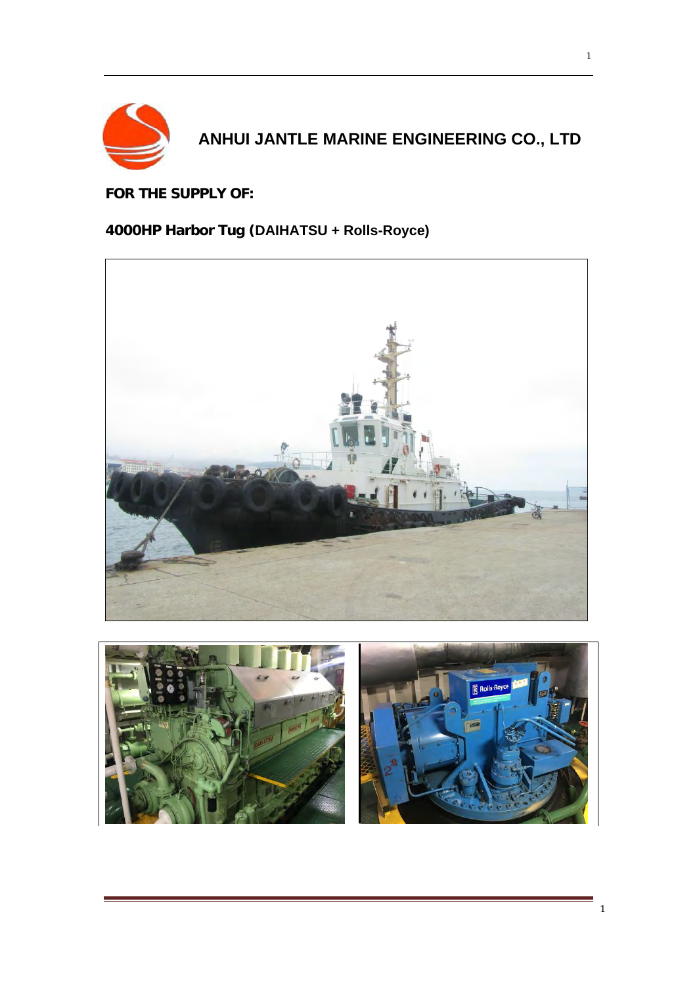

# **ANHUI JANTLE MARINE ENGINEERING CO., LTD**

**FOR THE SUPPLY OF:** 

## **4000HP Harbor Tug (DAIHATSU + Rolls-Royce)**



![](_page_0_Picture_5.jpeg)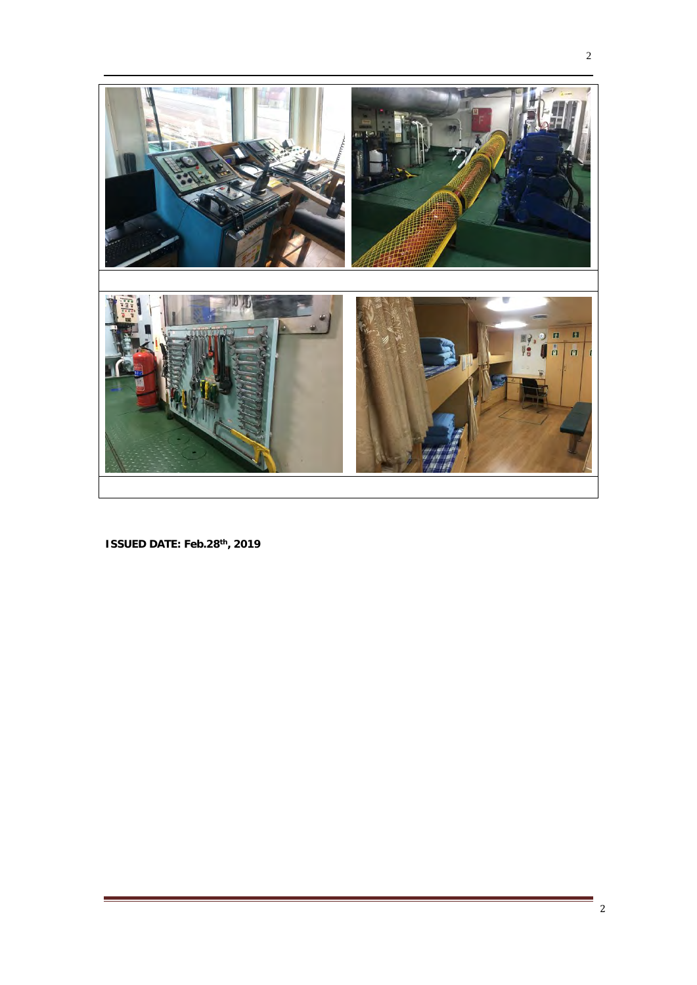![](_page_1_Picture_0.jpeg)

**ISSUED DATE: Feb.28 th, 2019**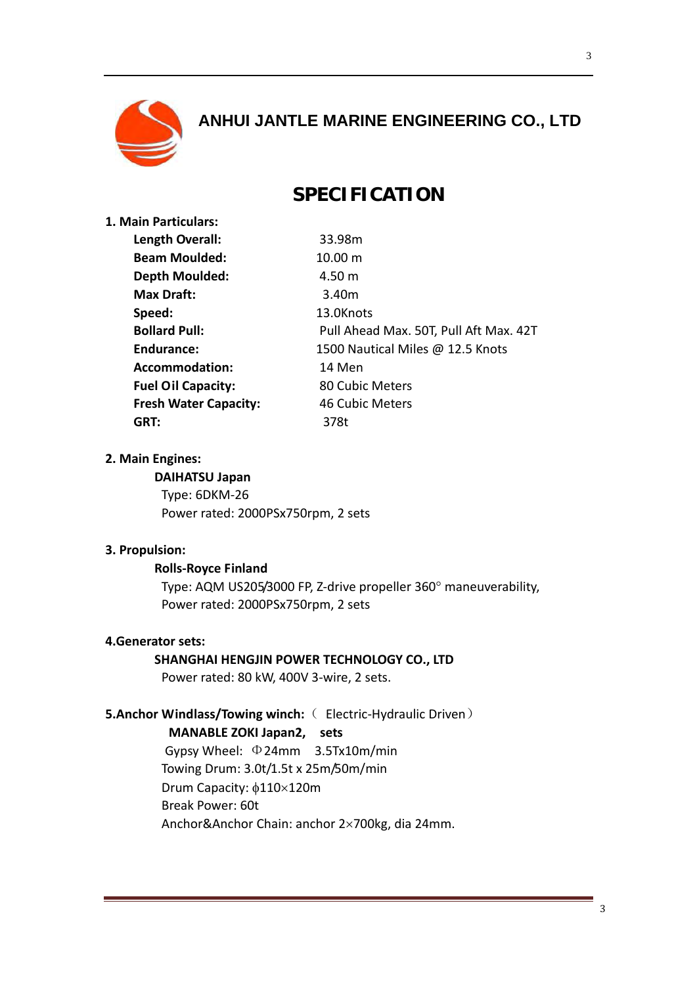![](_page_2_Picture_0.jpeg)

# **ANHUI JANTLE MARINE ENGINEERING CO., LTD**

## **SPECIFICATION**

| 1. Main Particulars:         |                                        |
|------------------------------|----------------------------------------|
| Length Overall:              | 33.98m                                 |
| <b>Beam Moulded:</b>         | $10.00 \text{ m}$                      |
| <b>Depth Moulded:</b>        | 4.50 m                                 |
| Max Draft:                   | 3.40m                                  |
| Speed:                       | 13.0Knots                              |
| <b>Bollard Pull:</b>         | Pull Ahead Max. 50T, Pull Aft Max. 42T |
| Endurance:                   | 1500 Nautical Miles @ 12.5 Knots       |
| Accommodation:               | 14 Men                                 |
| <b>Fuel Oil Capacity:</b>    | 80 Cubic Meters                        |
| <b>Fresh Water Capacity:</b> | 46 Cubic Meters                        |
| GRT:                         | 378t                                   |
|                              |                                        |

#### **2. Main Engines:**

#### **DAIHATSU Japan**

Type: 6DKM-26 Power rated: 2000PSx750rpm, 2 sets

#### **3. Propulsion:**

#### **Rolls-Royce Finland**

Type: AQM US205/3000 FP, Z-drive propeller 360° maneuverability, Power rated: 2000PSx750rpm, 2 sets

#### **4.Generator sets:**

#### **SHANGHAI HENGJIN POWER TECHNOLOGY CO., LTD**

Power rated: 80 kW, 400V 3-wire, 2 sets.

### **5.Anchor Windlass/Towing winch:**( Electric-Hydraulic Driven)

#### **MANABLE ZOKI Japan2, sets**

 Gypsy Wheel: Φ24mm 3.5Tx10m/min Towing Drum: 3.0t/1.5t x 25m/50m/min Drum Capacity:  $\phi$ 110×120m Break Power: 60t Anchor&Anchor Chain: anchor 2×700kg, dia 24mm.